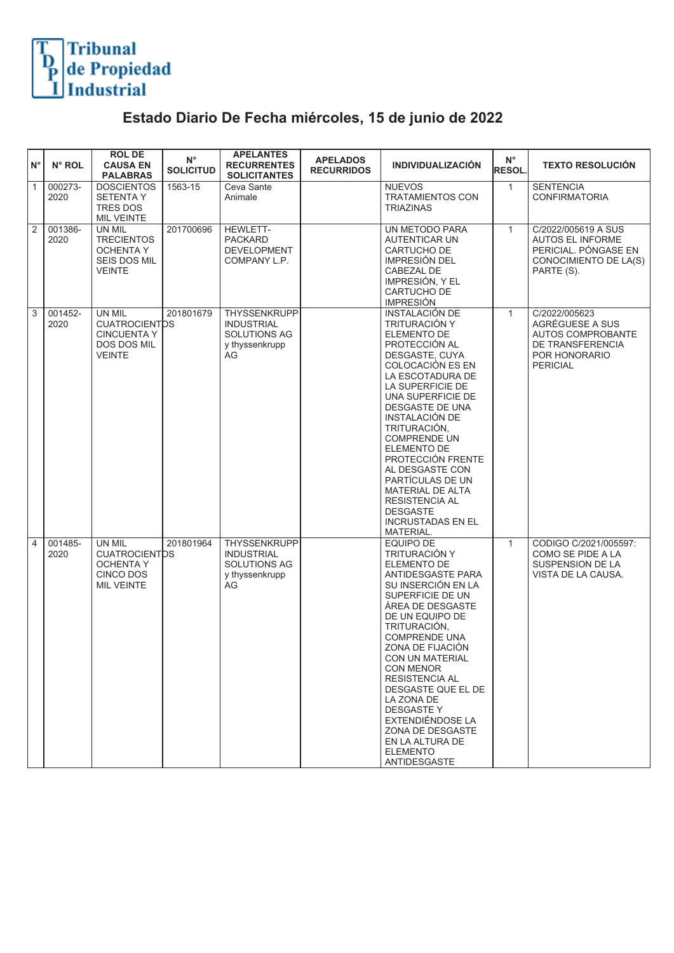

## **Estado Diario De Fecha miércoles, 15 de junio de 2022**

| $N^{\circ}$  | N° ROL          | <b>ROLDE</b><br><b>CAUSA EN</b><br><b>PALABRAS</b>                                   | $N^{\circ}$<br><b>SOLICITUD</b> | <b>APELANTES</b><br><b>RECURRENTES</b><br><b>SOLICITANTES</b>                    | <b>APELADOS</b><br><b>RECURRIDOS</b> | <b>INDIVIDUALIZACIÓN</b>                                                                                                                                                                                                                                                                                                                                                                                                                  | $N^{\circ}$<br><b>RESOL</b> | <b>TEXTO RESOLUCIÓN</b>                                                                                       |
|--------------|-----------------|--------------------------------------------------------------------------------------|---------------------------------|----------------------------------------------------------------------------------|--------------------------------------|-------------------------------------------------------------------------------------------------------------------------------------------------------------------------------------------------------------------------------------------------------------------------------------------------------------------------------------------------------------------------------------------------------------------------------------------|-----------------------------|---------------------------------------------------------------------------------------------------------------|
| $\mathbf{1}$ | 000273-<br>2020 | <b>DOSCIENTOS</b><br><b>SETENTA Y</b><br>TRES DOS<br><b>MIL VEINTE</b>               | 1563-15                         | Ceva Sante<br>Animale                                                            |                                      | <b>NUEVOS</b><br><b>TRATAMIENTOS CON</b><br>TRIAZINAS                                                                                                                                                                                                                                                                                                                                                                                     | $\mathbf{1}$                | <b>SENTENCIA</b><br><b>CONFIRMATORIA</b>                                                                      |
| 2            | 001386-<br>2020 | UN MIL<br><b>TRECIENTOS</b><br>OCHENTA Y<br>SEIS DOS MIL<br>VEINTE                   | 201700696                       | <b>HEWLETT-</b><br><b>PACKARD</b><br><b>DEVELOPMENT</b><br>COMPANY L.P.          |                                      | UN METODO PARA<br>AUTENTICAR UN<br>CARTUCHO DE<br><b>IMPRESIÓN DEL</b><br>CABEZAL DE<br>IMPRESIÓN, Y EL<br>CARTUCHO DE<br><b>IMPRESIÓN</b>                                                                                                                                                                                                                                                                                                | $\mathbf{1}$                | C/2022/005619 A SUS<br><b>AUTOS EL INFORME</b><br>PERICIAL. PÓNGASE EN<br>CONOCIMIENTO DE LA(S)<br>PARTE (S). |
| 3            | 001452-<br>2020 | UN MIL<br><b>CUATROCIENTOS</b><br><b>CINCUENTA Y</b><br>DOS DOS MIL<br><b>VEINTE</b> | 201801679                       | THYSSENKRUPP<br><b>INDUSTRIAL</b><br><b>SOLUTIONS AG</b><br>y thyssenkrupp<br>AG |                                      | <b>INSTALACIÓN DE</b><br>TRITURACIÓN Y<br>ELEMENTO DE<br>PROTECCIÓN AL<br>DESGASTE, CUYA<br>COLOCACIÓN ES EN<br>LA ESCOTADURA DE<br>LA SUPERFICIE DE<br>UNA SUPERFICIE DE<br>DESGASTE DE UNA<br>INSTALACIÓN DE<br>TRITURACIÓN,<br><b>COMPRENDE UN</b><br><b>ELEMENTO DE</b><br>PROTECCIÓN FRENTE<br>AL DESGASTE CON<br>PARTÍCULAS DE UN<br>MATERIAL DE ALTA<br>RESISTENCIA AL<br><b>DESGASTE</b><br><b>INCRUSTADAS EN EL</b><br>MATERIAL. | $\mathbf{1}$                | C/2022/005623<br>AGRÉGUESE A SUS<br>AUTOS COMPROBANTE<br>DE TRANSFERENCIA<br>POR HONORARIO<br><b>PERICIAL</b> |
| 4            | 001485-<br>2020 | UN MIL<br><b>CUATROCIENTDS</b><br>OCHENTA Y<br>CINCO DOS<br><b>MIL VEINTE</b>        | 201801964                       | <b>THYSSENKRUPP</b><br><b>INDUSTRIAL</b><br>SOLUTIONS AG<br>y thyssenkrupp<br>AG |                                      | EQUIPO DE<br><b>TRITURACIÓN Y</b><br>ELEMENTO DE<br>ANTIDESGASTE PARA<br>SU INSERCIÓN EN LA<br>SUPERFICIE DE UN<br>ÁREA DE DESGASTE<br>DE UN EQUIPO DE<br>TRITURACIÓN,<br><b>COMPRENDE UNA</b><br>ZONA DE FIJACIÓN<br>CON UN MATERIAL<br>CON MENOR<br><b>RESISTENCIA AL</b><br>DESGASTE QUE EL DE<br>LA ZONA DE<br><b>DESGASTE Y</b><br>EXTENDIÉNDOSE LA<br>ZONA DE DESGASTE<br>EN LA ALTURA DE<br><b>ELEMENTO</b><br>ANTIDESGASTE        | $\mathbf{1}$                | CODIGO C/2021/005597:<br>COMO SE PIDE A LA<br>SUSPENSION DE LA<br>VISTA DE LA CAUSA.                          |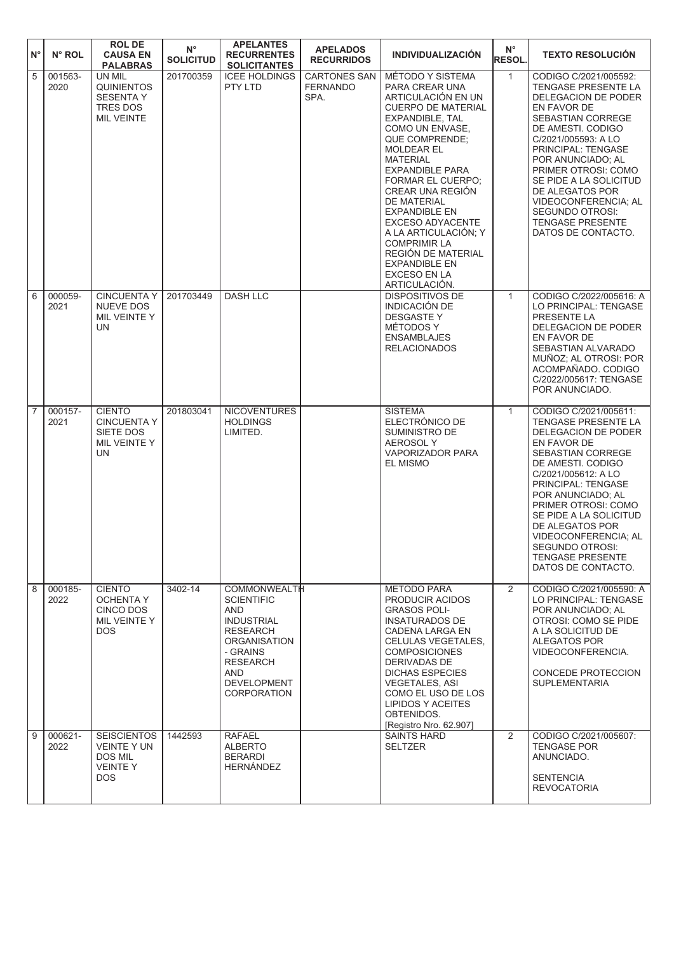| ١N°            | N° ROL          | <b>ROL DE</b><br><b>CAUSA EN</b><br><b>PALABRAS</b>                                        | $N^{\circ}$<br><b>SOLICITUD</b> | <b>APELANTES</b><br><b>RECURRENTES</b><br><b>SOLICITANTES</b>                                                                                                                                                  | <b>APELADOS</b><br><b>RECURRIDOS</b>           | <b>INDIVIDUALIZACIÓN</b>                                                                                                                                                                                                                                                                                                                                                                                                                                                             | $N^{\circ}$<br><b>RESOL.</b> | <b>TEXTO RESOLUCIÓN</b>                                                                                                                                                                                                                                                                                                                                               |
|----------------|-----------------|--------------------------------------------------------------------------------------------|---------------------------------|----------------------------------------------------------------------------------------------------------------------------------------------------------------------------------------------------------------|------------------------------------------------|--------------------------------------------------------------------------------------------------------------------------------------------------------------------------------------------------------------------------------------------------------------------------------------------------------------------------------------------------------------------------------------------------------------------------------------------------------------------------------------|------------------------------|-----------------------------------------------------------------------------------------------------------------------------------------------------------------------------------------------------------------------------------------------------------------------------------------------------------------------------------------------------------------------|
| $\sqrt{5}$     | 001563-<br>2020 | UN MIL<br><b>QUINIENTOS</b><br><b>SESENTA Y</b><br>TRES DOS<br><b>MIL VEINTE</b>           | 201700359                       | <b>ICEE HOLDINGS</b><br>PTY LTD                                                                                                                                                                                | <b>CARTONES SAN</b><br><b>FERNANDO</b><br>SPA. | MÉTODO Y SISTEMA<br>PARA CREAR UNA<br>ARTICULACIÓN EN UN<br><b>CUERPO DE MATERIAL</b><br>EXPANDIBLE, TAL<br>COMO UN ENVASE.<br><b>QUE COMPRENDE:</b><br><b>MOLDEAR EL</b><br><b>MATERIAL</b><br><b>EXPANDIBLE PARA</b><br><b>FORMAR EL CUERPO:</b><br>CREAR UNA REGIÓN<br><b>DE MATERIAL</b><br><b>EXPANDIBLE EN</b><br><b>EXCESO ADYACENTE</b><br>A LA ARTICULACIÓN; Y<br><b>COMPRIMIR LA</b><br>REGIÓN DE MATERIAL<br><b>EXPANDIBLE EN</b><br><b>EXCESO EN LA</b><br>ARTICULACIÓN. | $\mathbf{1}$                 | CODIGO C/2021/005592:<br>TENGASE PRESENTE LA<br><b>DELEGACION DE PODER</b><br>EN FAVOR DE<br>SEBASTIAN CORREGE<br>DE AMESTI. CODIGO<br>C/2021/005593: A LO<br>PRINCIPAL: TENGASE<br>POR ANUNCIADO; AL<br>PRIMER OTROSI: COMO<br>SE PIDE A LA SOLICITUD<br>DE ALEGATOS POR<br>VIDEOCONFERENCIA; AL<br>SEGUNDO OTROSI:<br><b>TENGASE PRESENTE</b><br>DATOS DE CONTACTO. |
| 6              | 000059-<br>2021 | <b>CINCUENTA Y</b><br><b>NUEVE DOS</b><br>MIL VEINTE Y<br><b>UN</b>                        | 201703449                       | <b>DASH LLC</b>                                                                                                                                                                                                |                                                | <b>DISPOSITIVOS DE</b><br><b>INDICACIÓN DE</b><br><b>DESGASTEY</b><br>MÉTODOS Y<br><b>ENSAMBLAJES</b><br><b>RELACIONADOS</b>                                                                                                                                                                                                                                                                                                                                                         | $\mathbf{1}$                 | CODIGO C/2022/005616: A<br>LO PRINCIPAL: TENGASE<br>PRESENTE LA<br>DELEGACION DE PODER<br>EN FAVOR DE<br>SEBASTIAN ALVARADO<br>MUÑOZ; AL OTROSI: POR<br>ACOMPAÑADO. CODIGO<br>C/2022/005617: TENGASE<br>POR ANUNCIADO.                                                                                                                                                |
| $\overline{7}$ | 000157-<br>2021 | <b>CIENTO</b><br><b>CINCUENTA Y</b><br>SIETE DOS<br>MIL VEINTE Y<br>UN                     | 201803041                       | <b>NICOVENTURES</b><br><b>HOLDINGS</b><br>LIMITED.                                                                                                                                                             |                                                | <b>SISTEMA</b><br>ELECTRÓNICO DE<br>SUMINISTRO DE<br><b>AEROSOLY</b><br><b>VAPORIZADOR PARA</b><br>EL MISMO                                                                                                                                                                                                                                                                                                                                                                          | $\mathbf{1}$                 | CODIGO C/2021/005611:<br>TENGASE PRESENTE LA<br>DELEGACION DE PODER<br>EN FAVOR DE<br>SEBASTIAN CORREGE<br>DE AMESTI. CODIGO<br>C/2021/005612: A LO<br>PRINCIPAL: TENGASE<br>POR ANUNCIADO; AL<br>PRIMER OTROSI: COMO<br>SE PIDE A LA SOLICITUD<br>DE ALEGATOS POR<br>VIDEOCONFERENCIA; AL<br><b>SEGUNDO OTROSI:</b><br><b>TENGASE PRESENTE</b><br>DATOS DE CONTACTO. |
| $\overline{8}$ | 000185-<br>2022 | <b>CIENTO</b><br><b>OCHENTA Y</b><br>CINCO DOS<br>MIL VEINTE Y<br>DOS.                     | 3402-14                         | <b>COMMONWEALTH</b><br><b>SCIENTIFIC</b><br><b>AND</b><br><b>INDUSTRIAL</b><br><b>RESEARCH</b><br><b>ORGANISATION</b><br>- GRAINS<br><b>RESEARCH</b><br><b>AND</b><br><b>DEVELOPMENT</b><br><b>CORPORATION</b> |                                                | <b>METODO PARA</b><br>PRODUCIR ACIDOS<br><b>GRASOS POLI-</b><br><b>INSATURADOS DE</b><br>CADENA LARGA EN<br><b>CELULAS VEGETALES.</b><br><b>COMPOSICIONES</b><br><b>DERIVADAS DE</b><br><b>DICHAS ESPECIES</b><br><b>VEGETALES, ASI</b><br>COMO EL USO DE LOS<br><b>LIPIDOS Y ACEITES</b><br>OBTENIDOS.<br>[Registro Nro. 62.907]                                                                                                                                                    | $\overline{2}$               | CODIGO C/2021/005590: A<br>LO PRINCIPAL: TENGASE<br>POR ANUNCIADO: AL<br>OTROSI: COMO SE PIDE<br>A LA SOLICITUD DE<br>ALEGATOS POR<br>VIDEOCONFERENCIA.<br>CONCEDE PROTECCION<br><b>SUPLEMENTARIA</b>                                                                                                                                                                 |
| $\overline{9}$ | 000621-<br>2022 | <b>SEISCIENTOS</b><br><b>VEINTE Y UN</b><br><b>DOS MIL</b><br><b>VEINTEY</b><br><b>DOS</b> | 1442593                         | <b>RAFAEL</b><br><b>ALBERTO</b><br><b>BERARDI</b><br><b>HERNÁNDEZ</b>                                                                                                                                          |                                                | <b>SAINTS HARD</b><br><b>SELTZER</b>                                                                                                                                                                                                                                                                                                                                                                                                                                                 | $\overline{2}$               | CODIGO C/2021/005607:<br><b>TENGASE POR</b><br>ANUNCIADO.<br><b>SENTENCIA</b><br><b>REVOCATORIA</b>                                                                                                                                                                                                                                                                   |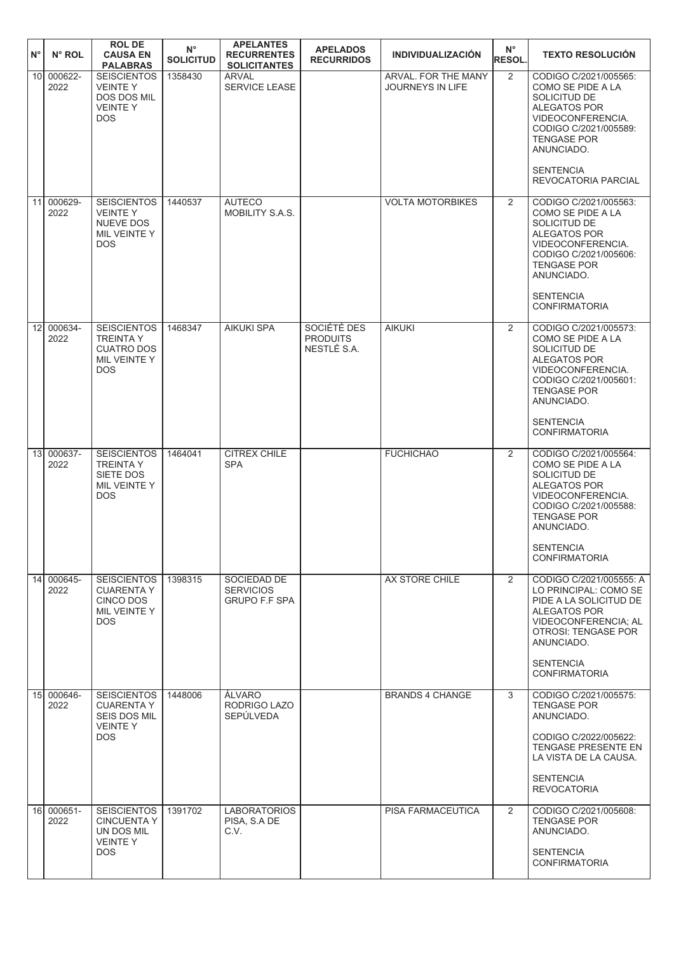| $N^{\circ}$     | $N^{\circ}$ ROL    | <b>ROL DE</b><br><b>CAUSA EN</b><br><b>PALABRAS</b>                                        | $N^{\circ}$<br><b>SOLICITUD</b> | <b>APELANTES</b><br><b>RECURRENTES</b><br><b>SOLICITANTES</b> | <b>APELADOS</b><br><b>RECURRIDOS</b>          | <b>INDIVIDUALIZACIÓN</b>                       | $N^{\circ}$<br><b>RESOL.</b> | <b>TEXTO RESOLUCIÓN</b>                                                                                                                                                                             |
|-----------------|--------------------|--------------------------------------------------------------------------------------------|---------------------------------|---------------------------------------------------------------|-----------------------------------------------|------------------------------------------------|------------------------------|-----------------------------------------------------------------------------------------------------------------------------------------------------------------------------------------------------|
| 10 <sup>1</sup> | 000622-<br>2022    | <b>SEISCIENTOS</b><br><b>VEINTEY</b><br><b>DOS DOS MIL</b><br><b>VEINTEY</b><br><b>DOS</b> | 1358430                         | <b>ARVAL</b><br>SERVICE LEASE                                 |                                               | ARVAL. FOR THE MANY<br><b>JOURNEYS IN LIFE</b> | $\overline{2}$               | CODIGO C/2021/005565:<br>COMO SE PIDE A LA<br>SOLICITUD DE<br><b>ALEGATOS POR</b><br>VIDEOCONFERENCIA.<br>CODIGO C/2021/005589:<br><b>TENGASE POR</b><br>ANUNCIADO.<br><b>SENTENCIA</b>             |
|                 |                    |                                                                                            |                                 |                                                               |                                               |                                                |                              | REVOCATORIA PARCIAL                                                                                                                                                                                 |
| 11              | 000629-<br>2022    | <b>SEISCIENTOS</b><br><b>VEINTEY</b><br>NUEVE DOS<br>MIL VEINTE Y<br><b>DOS</b>            | 1440537                         | <b>AUTECO</b><br>MOBILITY S.A.S.                              |                                               | <b>VOLTA MOTORBIKES</b>                        | 2                            | CODIGO C/2021/005563:<br>COMO SE PIDE A LA<br>SOLICITUD DE<br>ALEGATOS POR<br>VIDEOCONFERENCIA.<br>CODIGO C/2021/005606:<br><b>TENGASE POR</b><br>ANUNCIADO.                                        |
|                 |                    |                                                                                            |                                 |                                                               |                                               |                                                |                              | <b>SENTENCIA</b><br><b>CONFIRMATORIA</b>                                                                                                                                                            |
| 12              | 000634-<br>2022    | <b>SEISCIENTOS</b><br><b>TREINTA Y</b><br><b>CUATRO DOS</b><br>MIL VEINTE Y<br><b>DOS</b>  | 1468347                         | <b>AIKUKI SPA</b>                                             | SOCIÉTÉ DES<br><b>PRODUITS</b><br>NESTLÉ S.A. | <b>AIKUKI</b>                                  | 2                            | CODIGO C/2021/005573:<br>COMO SE PIDE A LA<br>SOLICITUD DE<br>ALEGATOS POR<br>VIDEOCONFERENCIA.<br>CODIGO C/2021/005601:<br><b>TENGASE POR</b><br>ANUNCIADO.<br><b>SENTENCIA</b>                    |
|                 |                    |                                                                                            |                                 |                                                               |                                               |                                                |                              | <b>CONFIRMATORIA</b>                                                                                                                                                                                |
| 13 <sup>1</sup> | 000637-<br>2022    | <b>SEISCIENTOS</b><br><b>TREINTA Y</b><br>SIETE DOS<br>MIL VEINTE Y<br><b>DOS</b>          | 1464041                         | <b>CITREX CHILE</b><br><b>SPA</b>                             |                                               | <b>FUCHICHAO</b>                               | 2                            | CODIGO C/2021/005564:<br>COMO SE PIDE A LA<br>SOLICITUD DE<br>ALEGATOS POR<br>VIDEOCONFERENCIA.<br>CODIGO C/2021/005588:<br><b>TENGASE POR</b><br>ANUNCIADO.<br><b>SENTENCIA</b>                    |
|                 |                    |                                                                                            |                                 |                                                               |                                               |                                                |                              | <b>CONFIRMATORIA</b>                                                                                                                                                                                |
| 14              | 000645-<br>2022    | <b>SEISCIENTOS</b><br><b>CUARENTA Y</b><br>CINCO DOS<br>MIL VEINTE Y<br><b>DOS</b>         | 1398315                         | SOCIEDAD DE<br><b>SERVICIOS</b><br><b>GRUPO F.F SPA</b>       |                                               | AX STORE CHILE                                 | $\overline{2}$               | CODIGO C/2021/005555: A<br>LO PRINCIPAL: COMO SE<br>PIDE A LA SOLICITUD DE<br>ALEGATOS POR<br>VIDEOCONFERENCIA; AL<br>OTROSI: TENGASE POR<br>ANUNCIADO.<br><b>SENTENCIA</b><br><b>CONFIRMATORIA</b> |
|                 | 15 000646-         | <b>SEISCIENTOS</b>                                                                         | 1448006                         | ÁLVARO                                                        |                                               | <b>BRANDS 4 CHANGE</b>                         | 3                            | CODIGO C/2021/005575:                                                                                                                                                                               |
|                 | 2022               | <b>CUARENTA Y</b><br>SEIS DOS MIL<br><b>VEINTEY</b><br><b>DOS</b>                          |                                 | RODRIGO LAZO<br><b>SEPÚLVEDA</b>                              |                                               |                                                |                              | <b>TENGASE POR</b><br>ANUNCIADO.<br>CODIGO C/2022/005622:<br>TENGASE PRESENTE EN<br>LA VISTA DE LA CAUSA.<br><b>SENTENCIA</b><br><b>REVOCATORIA</b>                                                 |
| 16              | $000651 -$<br>2022 | <b>SEISCIENTOS</b><br><b>CINCUENTA Y</b><br>UN DOS MIL<br><b>VEINTEY</b><br>DOS.           | 1391702                         | <b>LABORATORIOS</b><br>PISA, S.A DE<br>C.V.                   |                                               | PISA FARMACEUTICA                              | 2                            | CODIGO C/2021/005608:<br><b>TENGASE POR</b><br>ANUNCIADO.<br><b>SENTENCIA</b><br><b>CONFIRMATORIA</b>                                                                                               |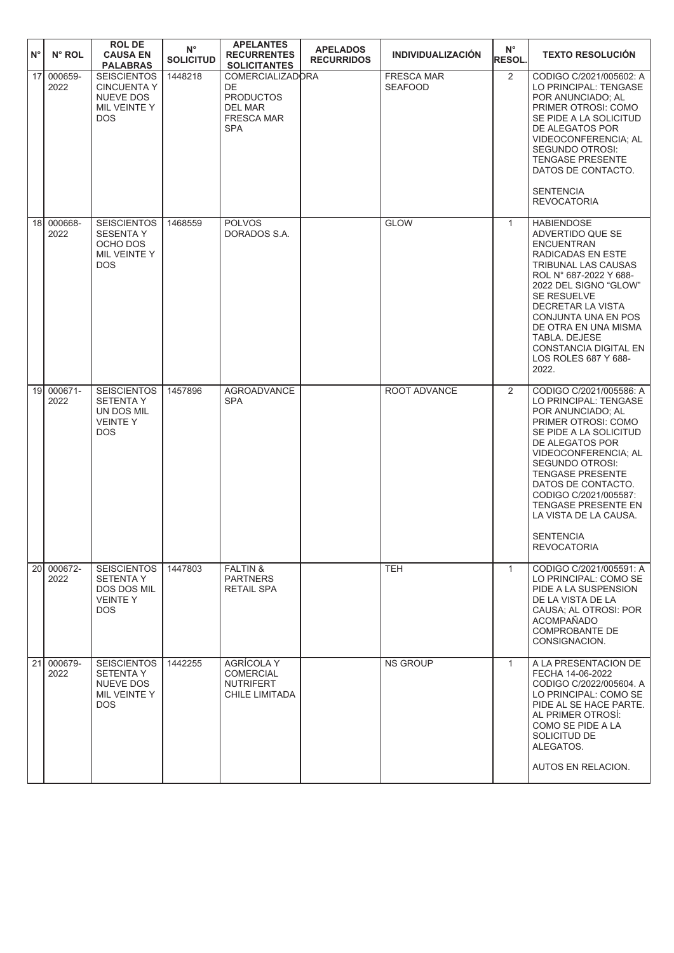| $N^{\circ}$ | N° ROL                             | <b>ROL DE</b><br><b>CAUSA EN</b><br><b>PALABRAS</b>                                          | $N^{\circ}$<br><b>SOLICITUD</b> | <b>APELANTES</b><br><b>RECURRENTES</b><br><b>SOLICITANTES</b>                                          | <b>APELADOS</b><br><b>RECURRIDOS</b> | <b>INDIVIDUALIZACIÓN</b>            | $N^{\circ}$<br><b>RESOL.</b> | <b>TEXTO RESOLUCION</b>                                                                                                                                                                                                                                                                                                                                  |
|-------------|------------------------------------|----------------------------------------------------------------------------------------------|---------------------------------|--------------------------------------------------------------------------------------------------------|--------------------------------------|-------------------------------------|------------------------------|----------------------------------------------------------------------------------------------------------------------------------------------------------------------------------------------------------------------------------------------------------------------------------------------------------------------------------------------------------|
|             | 17<br>000659-<br>2022              | <b>SEISCIENTOS</b><br><b>CINCUENTA Y</b><br>NUEVE DOS<br>MIL VEINTE Y<br><b>DOS</b>          | 1448218                         | <b>COMERCIALIZADORA</b><br>DE<br><b>PRODUCTOS</b><br><b>DEL MAR</b><br><b>FRESCA MAR</b><br><b>SPA</b> |                                      | <b>FRESCA MAR</b><br><b>SEAFOOD</b> | 2                            | CODIGO C/2021/005602: A<br>LO PRINCIPAL: TENGASE<br>POR ANUNCIADO: AL<br>PRIMER OTROSI: COMO<br>SE PIDE A LA SOLICITUD<br>DE ALEGATOS POR<br>VIDEOCONFERENCIA; AL<br><b>SEGUNDO OTROSI:</b><br><b>TENGASE PRESENTE</b><br>DATOS DE CONTACTO.<br><b>SENTENCIA</b><br><b>REVOCATORIA</b>                                                                   |
|             | 18 <sup>l</sup><br>000668-<br>2022 | <b>SEISCIENTOS</b><br><b>SESENTA Y</b><br>OCHO DOS<br>MIL VEINTE Y<br>DOS                    | 1468559                         | <b>POLVOS</b><br>DORADOS S.A.                                                                          |                                      | <b>GLOW</b>                         | $\mathbf{1}$                 | <b>HABIENDOSE</b><br>ADVERTIDO QUE SE<br><b>ENCUENTRAN</b><br>RADICADAS EN ESTE<br>TRIBUNAL LAS CAUSAS<br>ROL N° 687-2022 Y 688-<br>2022 DEL SIGNO "GLOW"<br>SE RESUELVE<br><b>DECRETAR LA VISTA</b><br>CONJUNTA UNA EN POS<br>DE OTRA EN UNA MISMA<br>TABLA, DEJESE<br>CONSTANCIA DIGITAL EN<br>LOS ROLES 687 Y 688-<br>2022.                           |
|             | 000671-<br>19 <sup>1</sup><br>2022 | <b>SEISCIENTOS</b><br><b>SETENTA Y</b><br>UN DOS MIL<br><b>VEINTEY</b><br>DOS                | 1457896                         | <b>AGROADVANCE</b><br><b>SPA</b>                                                                       |                                      | ROOT ADVANCE                        | 2                            | CODIGO C/2021/005586: A<br>LO PRINCIPAL: TENGASE<br>POR ANUNCIADO; AL<br>PRIMER OTROSI: COMO<br>SE PIDE A LA SOLICITUD<br>DE ALEGATOS POR<br>VIDEOCONFERENCIA; AL<br>SEGUNDO OTROSI:<br><b>TENGASE PRESENTE</b><br>DATOS DE CONTACTO.<br>CODIGO C/2021/005587:<br>TENGASE PRESENTE EN<br>LA VISTA DE LA CAUSA.<br><b>SENTENCIA</b><br><b>REVOCATORIA</b> |
|             | 20I<br>000672-<br>2022             | <b>SEISCIENTOS</b><br><b>SETENTA Y</b><br><b>DOS DOS MIL</b><br><b>VEINTEY</b><br><b>DOS</b> | 1447803                         | <b>FALTIN &amp;</b><br><b>PARTNERS</b><br><b>RETAIL SPA</b>                                            |                                      | <b>TEH</b>                          | $\mathbf{1}$                 | CODIGO C/2021/005591: A<br>LO PRINCIPAL: COMO SE<br>PIDE A LA SUSPENSION<br>DE LA VISTA DE LA<br>CAUSA: AL OTROSI: POR<br><b>ACOMPAÑADO</b><br>COMPROBANTE DE<br>CONSIGNACION.                                                                                                                                                                           |
|             | 000679-<br>211<br>2022             | <b>SEISCIENTOS</b><br><b>SETENTA Y</b><br><b>NUEVE DOS</b><br>MIL VEINTE Y<br><b>DOS</b>     | 1442255                         | AGRÍCOLA Y<br><b>COMERCIAL</b><br><b>NUTRIFERT</b><br>CHILE LIMITADA                                   |                                      | <b>NS GROUP</b>                     | $\mathbf{1}$                 | A LA PRESENTACION DE<br>FECHA 14-06-2022<br>CODIGO C/2022/005604. A<br>LO PRINCIPAL: COMO SE<br>PIDE AL SE HACE PARTE.<br>AL PRIMER OTROSI:<br>COMO SE PIDE A LA<br>SOLICITUD DE<br>ALEGATOS.<br>AUTOS EN RELACION.                                                                                                                                      |